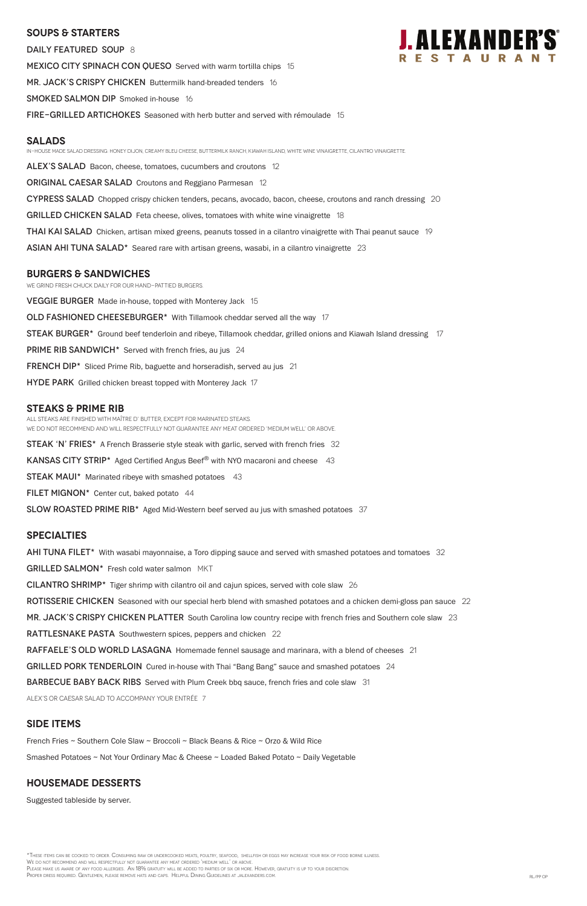#### **SOUPS & Starters**

DAILY FEATURED SOUP 8 **MEXICO CITY SPINACH CON QUESO** Served with warm tortilla chips 15 MR. JACK'S CRISPY CHICKEN Buttermilk hand-breaded tenders 16 SMOKED SALMON DIP Smoked in-house 16 FIRE-GRILLED ARTICHOKES Seasoned with herb butter and served with rémoulade 15



#### **Salads**

In-house made salad dressing: Honey dijon, Creamy bleu cheese, buttermilk ranch, kiawah island, white wine vinaigrette, cilantro vinaigrette.

ALEX'S SALAD Bacon, cheese, tomatoes, cucumbers and croutons 12

**ORIGINAL CAESAR SALAD** Croutons and Reggiano Parmesan 12

CYPRESS SALAD Chopped crispy chicken tenders, pecans, avocado, bacon, cheese, croutons and ranch dressing 20

**GRILLED CHICKEN SALAD** Feta cheese, olives, tomatoes with white wine vinaigrette 18

**THAI KAI SALAD** Chicken, artisan mixed greens, peanuts tossed in a cilantro vinaigrette with Thai peanut sauce 19

ASIAN AHI TUNA SALAD $*$  Seared rare with artisan greens, wasabi, in a cilantro vinaigrette 23

#### **burgers & Sandwiches**

We grind fresh chuck daily for our hand-pattied burgers.

**VEGGIE BURGER** Made in-house, topped with Monterey Jack 15

OLD FASHIONED CHEESEBURGER<sup>\*</sup> With Tillamook cheddar served all the way 17

STEAK BURGER\* Ground beef tenderloin and ribeye, Tillamook cheddar, grilled onions and Kiawah Island dressing 17

**PRIME RIB SANDWICH\*** Served with french fries, au jus 24

**FRENCH DIP\*** Sliced Prime Rib, baguette and horseradish, served au jus 21

HYDE PARK Grilled chicken breast topped with Monterey Jack 17

#### **STEAKS & Prime Rib**

\*These items can be cooked to order. Consuming raw or undercooked meats, poultry, seafood, shellfish or eggs may increase your risk of food borne illness. We do not recommend and will respectfully not guarantee any meat ordered 'medium well' or above. Please make us aware of any food allergies. An 18% gratuity will be added to parties of six or more. However, gratuity is up to your discretion. Proper dress required. Gentlemen, please remove hats and caps. Helpful Dining Guidelines at jalexanders.com. RL/PP op

All steaks are finished with Maître d' butter, except for marinated steaks. WE DO NOT RECOMMEND AND WILL RESPECTFULLY NOT GUARANTEE ANY MEAT ORDERED 'MEDIUM WELL' OR ABOVE.

**STEAK 'N' FRIES\*** A French Brasserie style steak with garlic, served with french fries 32

KANSAS CITY STRIP\* Aged Certified Angus Beef<sup>®</sup> with NYO macaroni and cheese 43

**STEAK MAUI\*** Marinated ribeye with smashed potatoes 43

FILET MIGNON $*$  Center cut, baked potato 44

SLOW ROASTED PRIME RIB\* Aged Mid-Western beef served au jus with smashed potatoes 37

#### **specialties**

AHI TUNA FILET<sup>\*</sup> With wasabi mayonnaise, a Toro dipping sauce and served with smashed potatoes and tomatoes 32

GRILLED SALMON\* Fresh cold water salmon MKT

CILANTRO SHRIMP\* Tiger shrimp with cilantro oil and cajun spices, served with cole slaw 26

ROTISSERIE CHICKEN Seasoned with our special herb blend with smashed potatoes and a chicken demi-gloss pan sauce 22

MR. JACK'S CRISPY CHICKEN PLATTER South Carolina low country recipe with french fries and Southern cole slaw 23

RATTLESNAKE PASTA Southwestern spices, peppers and chicken 22

RAFFAELE'S OLD WORLD LASAGNA Homemade fennel sausage and marinara, with a blend of cheeses 21

GRILLED PORK TENDERLOIN Cured in-house with Thai "Bang Bang" sauce and smashed potatoes 24

BARBECUE BABY BACK RIBS Served with Plum Creek bbq sauce, french fries and cole slaw 31

ALEX's or Caesar salad to accompany your entrée 7

#### **SIDE ITEMS**

French Fries ~ Southern Cole Slaw ~ Broccoli ~ Black Beans & Rice ~ Orzo & Wild Rice

Smashed Potatoes ~ Not Your Ordinary Mac & Cheese ~ Loaded Baked Potato ~ Daily Vegetable

#### **Housemade DESSERTS**

Suggested tableside by server.